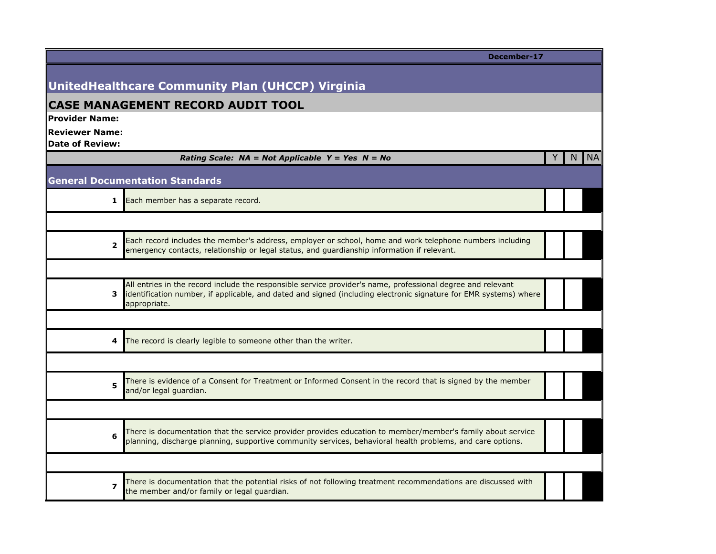|                                                 | December-17                                                                                                                                                                                                                                      |   |    |           |
|-------------------------------------------------|--------------------------------------------------------------------------------------------------------------------------------------------------------------------------------------------------------------------------------------------------|---|----|-----------|
|                                                 |                                                                                                                                                                                                                                                  |   |    |           |
|                                                 | UnitedHealthcare Community Plan (UHCCP) Virginia                                                                                                                                                                                                 |   |    |           |
|                                                 | <b>CASE MANAGEMENT RECORD AUDIT TOOL</b>                                                                                                                                                                                                         |   |    |           |
| Provider Name:                                  |                                                                                                                                                                                                                                                  |   |    |           |
| <b>Reviewer Name:</b><br><b>Date of Review:</b> |                                                                                                                                                                                                                                                  |   |    |           |
|                                                 | Rating Scale: $NA = Not Applied Y = Yes \tN = No$                                                                                                                                                                                                | Y | N. | <b>NA</b> |
|                                                 | <b>General Documentation Standards</b>                                                                                                                                                                                                           |   |    |           |
| 1                                               | Each member has a separate record.                                                                                                                                                                                                               |   |    |           |
|                                                 |                                                                                                                                                                                                                                                  |   |    |           |
| $\overline{\mathbf{2}}$                         | Each record includes the member's address, employer or school, home and work telephone numbers including<br>emergency contacts, relationship or legal status, and guardianship information if relevant.                                          |   |    |           |
|                                                 |                                                                                                                                                                                                                                                  |   |    |           |
| 3                                               | All entries in the record include the responsible service provider's name, professional degree and relevant<br>identification number, if applicable, and dated and signed (including electronic signature for EMR systems) where<br>appropriate. |   |    |           |
|                                                 |                                                                                                                                                                                                                                                  |   |    |           |
| 4                                               | The record is clearly legible to someone other than the writer.                                                                                                                                                                                  |   |    |           |
|                                                 |                                                                                                                                                                                                                                                  |   |    |           |
| 5                                               | There is evidence of a Consent for Treatment or Informed Consent in the record that is signed by the member<br>and/or legal guardian.                                                                                                            |   |    |           |
|                                                 |                                                                                                                                                                                                                                                  |   |    |           |
| 6                                               | There is documentation that the service provider provides education to member/member's family about service<br>planning, discharge planning, supportive community services, behavioral health problems, and care options.                        |   |    |           |
|                                                 |                                                                                                                                                                                                                                                  |   |    |           |
| $\overline{\mathbf{z}}$                         | There is documentation that the potential risks of not following treatment recommendations are discussed with<br>the member and/or family or legal guardian.                                                                                     |   |    |           |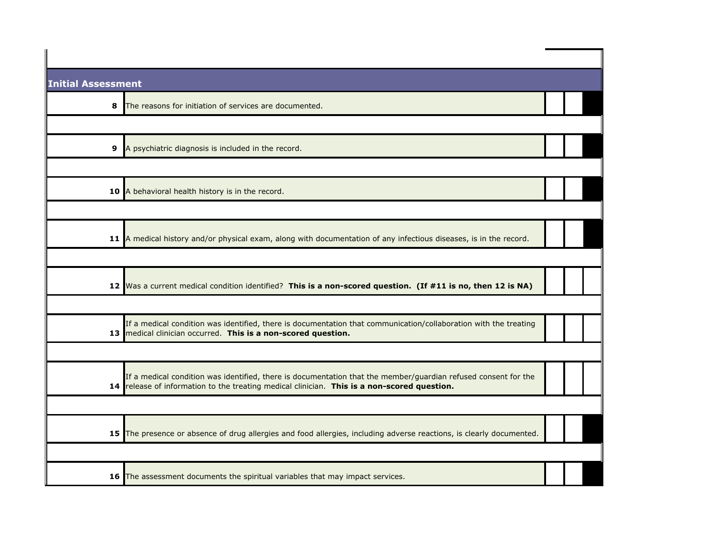| <b>Initial Assessment</b>                                     |                                                                                                                                                                                                               |  |  |
|---------------------------------------------------------------|---------------------------------------------------------------------------------------------------------------------------------------------------------------------------------------------------------------|--|--|
| 8<br>The reasons for initiation of services are documented.   |                                                                                                                                                                                                               |  |  |
|                                                               |                                                                                                                                                                                                               |  |  |
| 9<br>A psychiatric diagnosis is included in the record.       |                                                                                                                                                                                                               |  |  |
|                                                               |                                                                                                                                                                                                               |  |  |
| A behavioral health history is in the record.<br>10           |                                                                                                                                                                                                               |  |  |
|                                                               |                                                                                                                                                                                                               |  |  |
|                                                               | 11 A medical history and/or physical exam, along with documentation of any infectious diseases, is in the record.                                                                                             |  |  |
|                                                               |                                                                                                                                                                                                               |  |  |
|                                                               | 12 Was a current medical condition identified? This is a non-scored question. (If #11 is no, then 12 is NA)                                                                                                   |  |  |
|                                                               |                                                                                                                                                                                                               |  |  |
| 13 medical clinician occurred. This is a non-scored question. | If a medical condition was identified, there is documentation that communication/collaboration with the treating                                                                                              |  |  |
|                                                               |                                                                                                                                                                                                               |  |  |
|                                                               | If a medical condition was identified, there is documentation that the member/guardian refused consent for the<br>14 release of information to the treating medical clinician. This is a non-scored question. |  |  |
|                                                               |                                                                                                                                                                                                               |  |  |
|                                                               | 15 The presence or absence of drug allergies and food allergies, including adverse reactions, is clearly documented.                                                                                          |  |  |
|                                                               |                                                                                                                                                                                                               |  |  |
|                                                               | 16 The assessment documents the spiritual variables that may impact services.                                                                                                                                 |  |  |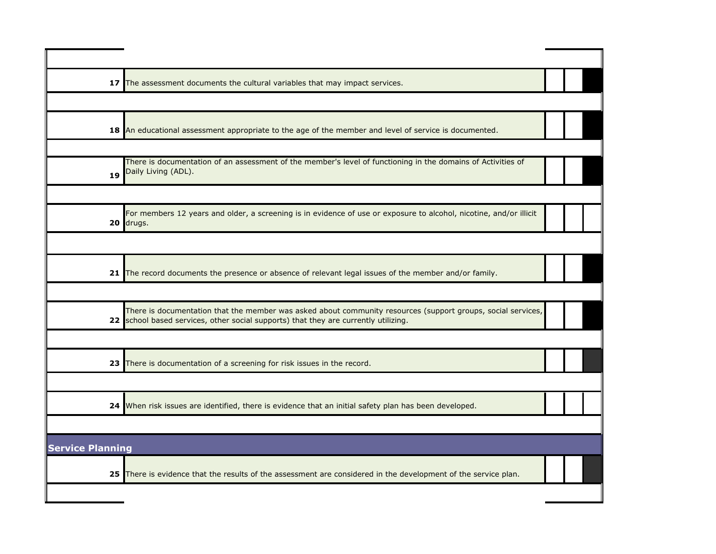|                         | 17 The assessment documents the cultural variables that may impact services.                                                                                                                        |  |  |
|-------------------------|-----------------------------------------------------------------------------------------------------------------------------------------------------------------------------------------------------|--|--|
|                         |                                                                                                                                                                                                     |  |  |
|                         | 18 An educational assessment appropriate to the age of the member and level of service is documented.                                                                                               |  |  |
| 19                      | There is documentation of an assessment of the member's level of functioning in the domains of Activities of<br>Daily Living (ADL).                                                                 |  |  |
|                         | For members 12 years and older, a screening is in evidence of use or exposure to alcohol, nicotine, and/or illicit<br>20 drugs.                                                                     |  |  |
|                         |                                                                                                                                                                                                     |  |  |
| 21 <sub>1</sub>         | The record documents the presence or absence of relevant legal issues of the member and/or family.                                                                                                  |  |  |
|                         | There is documentation that the member was asked about community resources (support groups, social services,<br>22 school based services, other social supports) that they are currently utilizing. |  |  |
| 23                      | There is documentation of a screening for risk issues in the record.                                                                                                                                |  |  |
|                         | 24 When risk issues are identified, there is evidence that an initial safety plan has been developed.                                                                                               |  |  |
| <b>Service Planning</b> |                                                                                                                                                                                                     |  |  |
| 25                      | There is evidence that the results of the assessment are considered in the development of the service plan.                                                                                         |  |  |
|                         |                                                                                                                                                                                                     |  |  |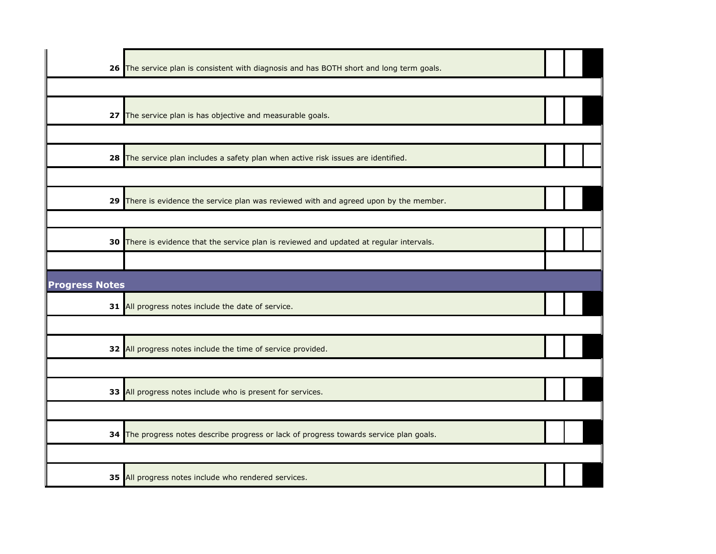|                       | 26 The service plan is consistent with diagnosis and has BOTH short and long term goals. |  |  |
|-----------------------|------------------------------------------------------------------------------------------|--|--|
|                       |                                                                                          |  |  |
|                       | 27 The service plan is has objective and measurable goals.                               |  |  |
|                       |                                                                                          |  |  |
|                       | 28 The service plan includes a safety plan when active risk issues are identified.       |  |  |
|                       |                                                                                          |  |  |
|                       | 29 There is evidence the service plan was reviewed with and agreed upon by the member.   |  |  |
|                       |                                                                                          |  |  |
|                       | 30 There is evidence that the service plan is reviewed and updated at regular intervals. |  |  |
|                       |                                                                                          |  |  |
| <b>Progress Notes</b> |                                                                                          |  |  |
|                       |                                                                                          |  |  |
|                       | 31 All progress notes include the date of service.                                       |  |  |
|                       |                                                                                          |  |  |
|                       | 32 All progress notes include the time of service provided.                              |  |  |
|                       |                                                                                          |  |  |
|                       | 33 All progress notes include who is present for services.                               |  |  |
|                       |                                                                                          |  |  |
|                       | 34 The progress notes describe progress or lack of progress towards service plan goals.  |  |  |
|                       |                                                                                          |  |  |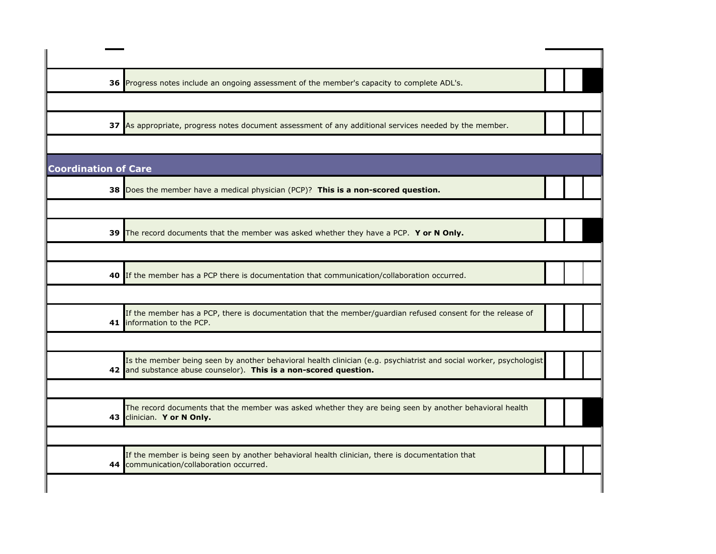|                             | 36 Progress notes include an ongoing assessment of the member's capacity to complete ADL's.                                                                                             |  |  |
|-----------------------------|-----------------------------------------------------------------------------------------------------------------------------------------------------------------------------------------|--|--|
|                             |                                                                                                                                                                                         |  |  |
|                             | 37 As appropriate, progress notes document assessment of any additional services needed by the member.                                                                                  |  |  |
|                             |                                                                                                                                                                                         |  |  |
| <b>Coordination of Care</b> |                                                                                                                                                                                         |  |  |
|                             | 38 Does the member have a medical physician (PCP)? This is a non-scored question.                                                                                                       |  |  |
|                             |                                                                                                                                                                                         |  |  |
|                             | 39 The record documents that the member was asked whether they have a PCP. Y or N Only.                                                                                                 |  |  |
|                             |                                                                                                                                                                                         |  |  |
|                             | 40 If the member has a PCP there is documentation that communication/collaboration occurred.                                                                                            |  |  |
|                             |                                                                                                                                                                                         |  |  |
|                             | If the member has a PCP, there is documentation that the member/guardian refused consent for the release of<br>41 Information to the PCP.                                               |  |  |
|                             |                                                                                                                                                                                         |  |  |
|                             | Is the member being seen by another behavioral health clinician (e.g. psychiatrist and social worker, psychologist<br>42 and substance abuse counselor). This is a non-scored question. |  |  |
|                             |                                                                                                                                                                                         |  |  |
|                             | The record documents that the member was asked whether they are being seen by another behavioral health<br>43 clinician. Y or N Only.                                                   |  |  |
|                             |                                                                                                                                                                                         |  |  |
|                             | If the member is being seen by another behavioral health clinician, there is documentation that<br>44 communication/collaboration occurred.                                             |  |  |
|                             |                                                                                                                                                                                         |  |  |